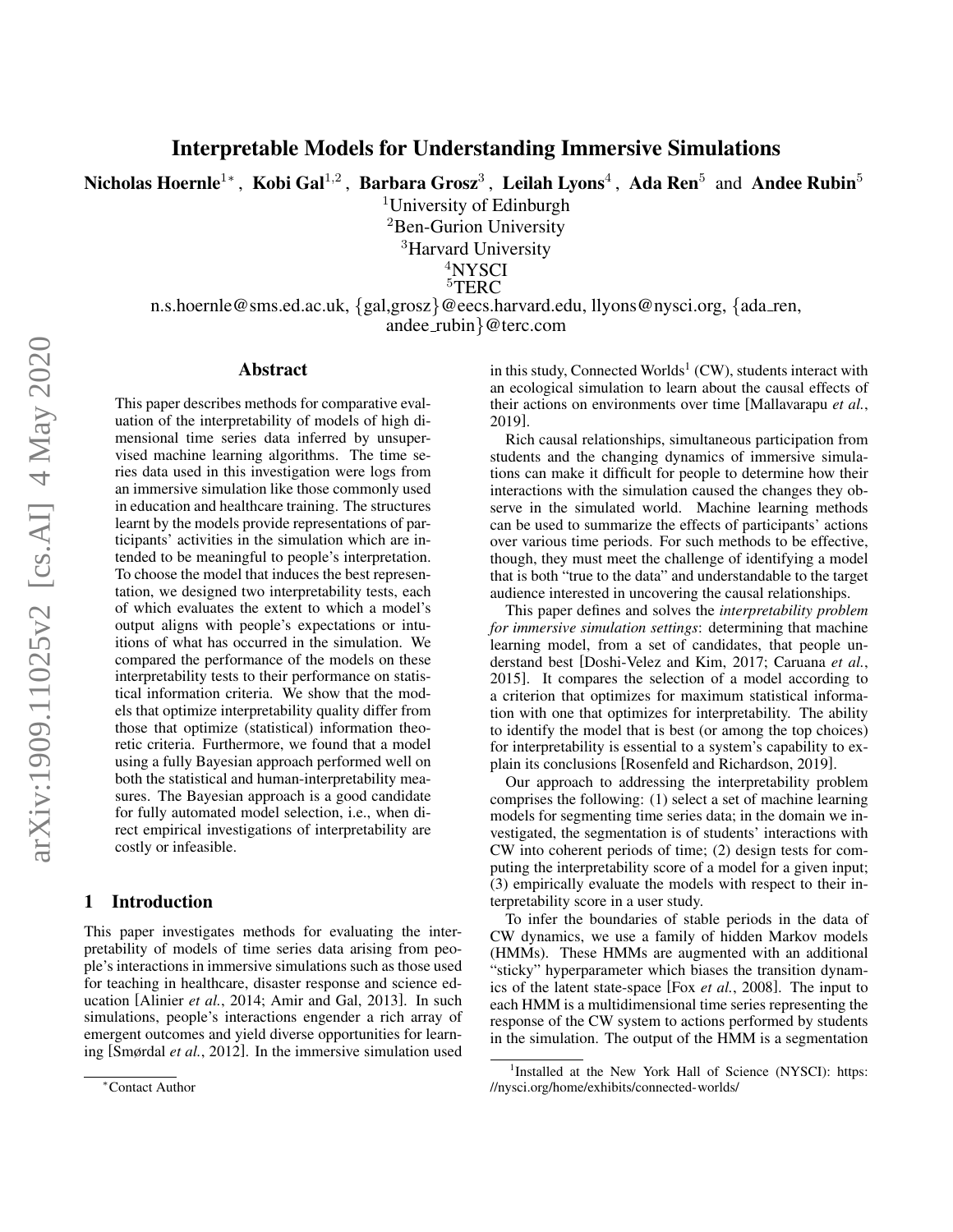Nicholas Hoernle $^{1*}$  , Kobi Gal $^{1,2}$  , Barbara Grosz $^3$  , Leilah Lyons $^4$  , Ada Ren $^5\,$  and Andee Rubin $^5\,$ 

<sup>1</sup>University of Edinburgh

<sup>2</sup>Ben-Gurion University

<sup>3</sup>Harvard University

<sup>4</sup>NYSCI

<sup>5</sup>TERC

n.s.hoernle@sms.ed.ac.uk, {gal,grosz}@eecs.harvard.edu, llyons@nysci.org, {ada ren, andee rubin}@terc.com

#### Abstract

This paper describes methods for comparative evaluation of the interpretability of models of high dimensional time series data inferred by unsupervised machine learning algorithms. The time series data used in this investigation were logs from an immersive simulation like those commonly used in education and healthcare training. The structures learnt by the models provide representations of participants' activities in the simulation which are intended to be meaningful to people's interpretation. To choose the model that induces the best representation, we designed two interpretability tests, each of which evaluates the extent to which a model's output aligns with people's expectations or intuitions of what has occurred in the simulation. We compared the performance of the models on these interpretability tests to their performance on statistical information criteria. We show that the models that optimize interpretability quality differ from those that optimize (statistical) information theoretic criteria. Furthermore, we found that a model using a fully Bayesian approach performed well on both the statistical and human-interpretability measures. The Bayesian approach is a good candidate for fully automated model selection, i.e., when direct empirical investigations of interpretability are costly or infeasible.

# 1 Introduction

This paper investigates methods for evaluating the interpretability of models of time series data arising from people's interactions in immersive simulations such as those used for teaching in healthcare, disaster response and science education [\[Alinier](#page-6-0) *et al.*, 2014; [Amir and Gal, 2013\]](#page-6-1). In such simulations, people's interactions engender a rich array of emergent outcomes and yield diverse opportunities for learning [\[Smørdal](#page-6-2) *et al.*, 2012]. In the immersive simulation used

in this study, Connected Worlds $^1$  $^1$  (CW), students interact with an ecological simulation to learn about the causal effects of their actions on environments over time [\[Mallavarapu](#page-6-3) *et al.*, [2019\]](#page-6-3).

Rich causal relationships, simultaneous participation from students and the changing dynamics of immersive simulations can make it difficult for people to determine how their interactions with the simulation caused the changes they observe in the simulated world. Machine learning methods can be used to summarize the effects of participants' actions over various time periods. For such methods to be effective, though, they must meet the challenge of identifying a model that is both "true to the data" and understandable to the target audience interested in uncovering the causal relationships.

This paper defines and solves the *interpretability problem for immersive simulation settings*: determining that machine learning model, from a set of candidates, that people understand best [\[Doshi-Velez and Kim, 2017;](#page-6-4) [Caruana](#page-6-5) *et al.*, [2015\]](#page-6-5). It compares the selection of a model according to a criterion that optimizes for maximum statistical information with one that optimizes for interpretability. The ability to identify the model that is best (or among the top choices) for interpretability is essential to a system's capability to explain its conclusions [\[Rosenfeld and Richardson, 2019\]](#page-6-6).

Our approach to addressing the interpretability problem comprises the following: (1) select a set of machine learning models for segmenting time series data; in the domain we investigated, the segmentation is of students' interactions with CW into coherent periods of time; (2) design tests for computing the interpretability score of a model for a given input; (3) empirically evaluate the models with respect to their interpretability score in a user study.

To infer the boundaries of stable periods in the data of CW dynamics, we use a family of hidden Markov models (HMMs). These HMMs are augmented with an additional "sticky" hyperparameter which biases the transition dynamics of the latent state-space [Fox *et al.*[, 2008\]](#page-6-7). The input to each HMM is a multidimensional time series representing the response of the CW system to actions performed by students in the simulation. The output of the HMM is a segmentation

<sup>∗</sup>Contact Author

<span id="page-0-0"></span><sup>&</sup>lt;sup>1</sup>Installed at the New York Hall of Science (NYSCI): [https:](https://nysci.org/home/exhibits/connected-worlds/) [//nysci.org/home/exhibits/connected-worlds/](https://nysci.org/home/exhibits/connected-worlds/)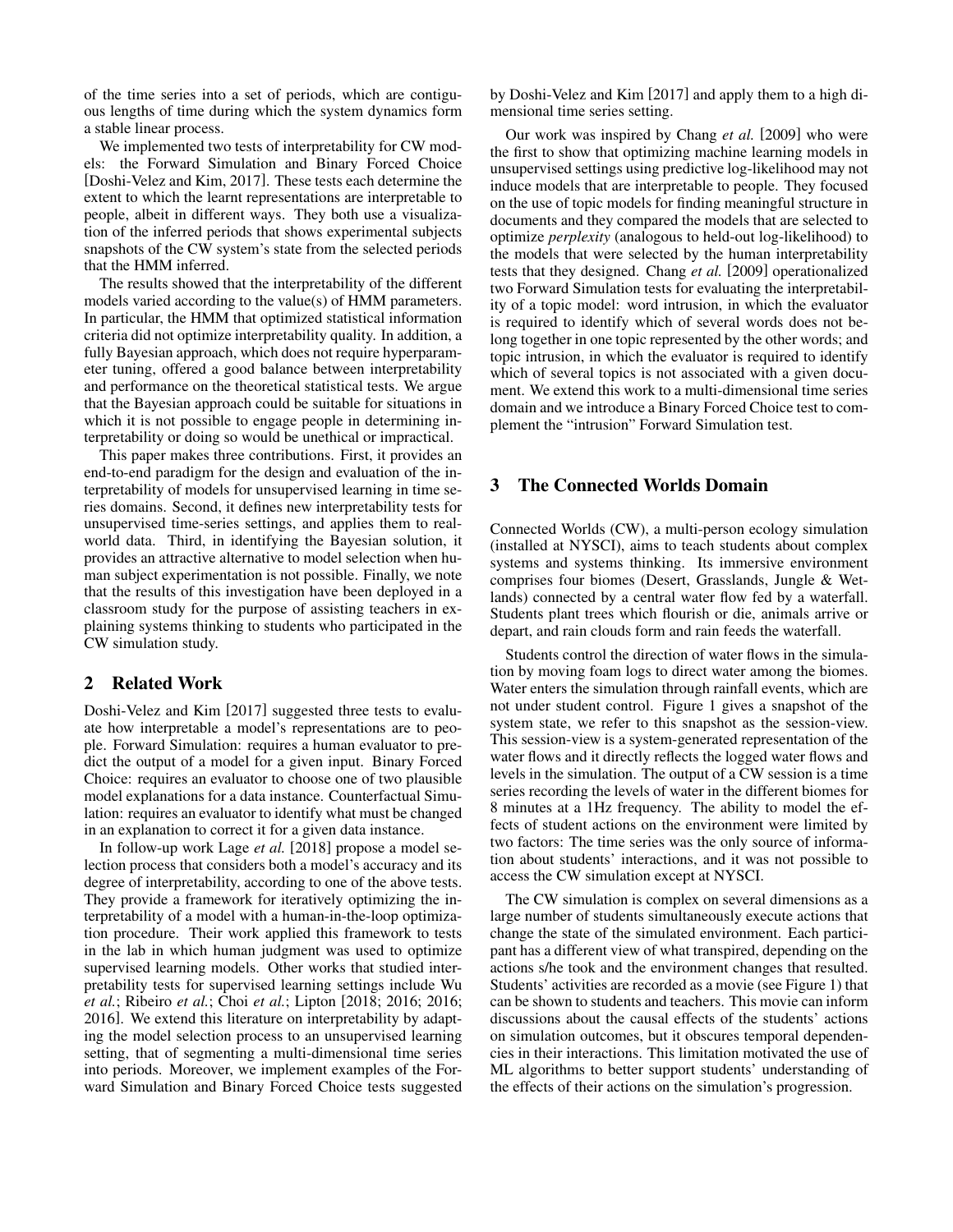of the time series into a set of periods, which are contiguous lengths of time during which the system dynamics form a stable linear process.

We implemented two tests of interpretability for CW models: the Forward Simulation and Binary Forced Choice [\[Doshi-Velez and Kim, 2017\]](#page-6-4). These tests each determine the extent to which the learnt representations are interpretable to people, albeit in different ways. They both use a visualization of the inferred periods that shows experimental subjects snapshots of the CW system's state from the selected periods that the HMM inferred.

The results showed that the interpretability of the different models varied according to the value(s) of HMM parameters. In particular, the HMM that optimized statistical information criteria did not optimize interpretability quality. In addition, a fully Bayesian approach, which does not require hyperparameter tuning, offered a good balance between interpretability and performance on the theoretical statistical tests. We argue that the Bayesian approach could be suitable for situations in which it is not possible to engage people in determining interpretability or doing so would be unethical or impractical.

This paper makes three contributions. First, it provides an end-to-end paradigm for the design and evaluation of the interpretability of models for unsupervised learning in time series domains. Second, it defines new interpretability tests for unsupervised time-series settings, and applies them to realworld data. Third, in identifying the Bayesian solution, it provides an attractive alternative to model selection when human subject experimentation is not possible. Finally, we note that the results of this investigation have been deployed in a classroom study for the purpose of assisting teachers in explaining systems thinking to students who participated in the CW simulation study.

# 2 Related Work

[Doshi-Velez and Kim](#page-6-4) [\[2017\]](#page-6-4) suggested three tests to evaluate how interpretable a model's representations are to people. Forward Simulation: requires a human evaluator to predict the output of a model for a given input. Binary Forced Choice: requires an evaluator to choose one of two plausible model explanations for a data instance. Counterfactual Simulation: requires an evaluator to identify what must be changed in an explanation to correct it for a given data instance.

In follow-up work [Lage](#page-6-8) *et al.* [\[2018\]](#page-6-8) propose a model selection process that considers both a model's accuracy and its degree of interpretability, according to one of the above tests. They provide a framework for iteratively optimizing the interpretability of a model with a human-in-the-loop optimization procedure. Their work applied this framework to tests in the lab in which human judgment was used to optimize supervised learning models. Other works that studied interpretability tests for supervised learning settings include [Wu](#page-6-9) *[et al.](#page-6-9)*; [Ribeiro](#page-6-10) *et al.*; [Choi](#page-6-11) *et al.*; [Lipton](#page-6-12) [\[2018;](#page-6-9) [2016;](#page-6-10) [2016;](#page-6-11) [2016\]](#page-6-12). We extend this literature on interpretability by adapting the model selection process to an unsupervised learning setting, that of segmenting a multi-dimensional time series into periods. Moreover, we implement examples of the Forward Simulation and Binary Forced Choice tests suggested by [Doshi-Velez and Kim](#page-6-4) [\[2017\]](#page-6-4) and apply them to a high dimensional time series setting.

Our work was inspired by [Chang](#page-6-13) *et al.* [\[2009\]](#page-6-13) who were the first to show that optimizing machine learning models in unsupervised settings using predictive log-likelihood may not induce models that are interpretable to people. They focused on the use of topic models for finding meaningful structure in documents and they compared the models that are selected to optimize *perplexity* (analogous to held-out log-likelihood) to the models that were selected by the human interpretability tests that they designed. [Chang](#page-6-13) *et al.* [\[2009\]](#page-6-13) operationalized two Forward Simulation tests for evaluating the interpretability of a topic model: word intrusion, in which the evaluator is required to identify which of several words does not belong together in one topic represented by the other words; and topic intrusion, in which the evaluator is required to identify which of several topics is not associated with a given document. We extend this work to a multi-dimensional time series domain and we introduce a Binary Forced Choice test to complement the "intrusion" Forward Simulation test.

# 3 The Connected Worlds Domain

Connected Worlds (CW), a multi-person ecology simulation (installed at NYSCI), aims to teach students about complex systems and systems thinking. Its immersive environment comprises four biomes (Desert, Grasslands, Jungle & Wetlands) connected by a central water flow fed by a waterfall. Students plant trees which flourish or die, animals arrive or depart, and rain clouds form and rain feeds the waterfall.

Students control the direction of water flows in the simulation by moving foam logs to direct water among the biomes. Water enters the simulation through rainfall events, which are not under student control. Figure [1](#page-2-0) gives a snapshot of the system state, we refer to this snapshot as the session-view. This session-view is a system-generated representation of the water flows and it directly reflects the logged water flows and levels in the simulation. The output of a CW session is a time series recording the levels of water in the different biomes for 8 minutes at a 1Hz frequency. The ability to model the effects of student actions on the environment were limited by two factors: The time series was the only source of information about students' interactions, and it was not possible to access the CW simulation except at NYSCI.

The CW simulation is complex on several dimensions as a large number of students simultaneously execute actions that change the state of the simulated environment. Each participant has a different view of what transpired, depending on the actions s/he took and the environment changes that resulted. Students' activities are recorded as a movie (see Figure [1\)](#page-2-0) that can be shown to students and teachers. This movie can inform discussions about the causal effects of the students' actions on simulation outcomes, but it obscures temporal dependencies in their interactions. This limitation motivated the use of ML algorithms to better support students' understanding of the effects of their actions on the simulation's progression.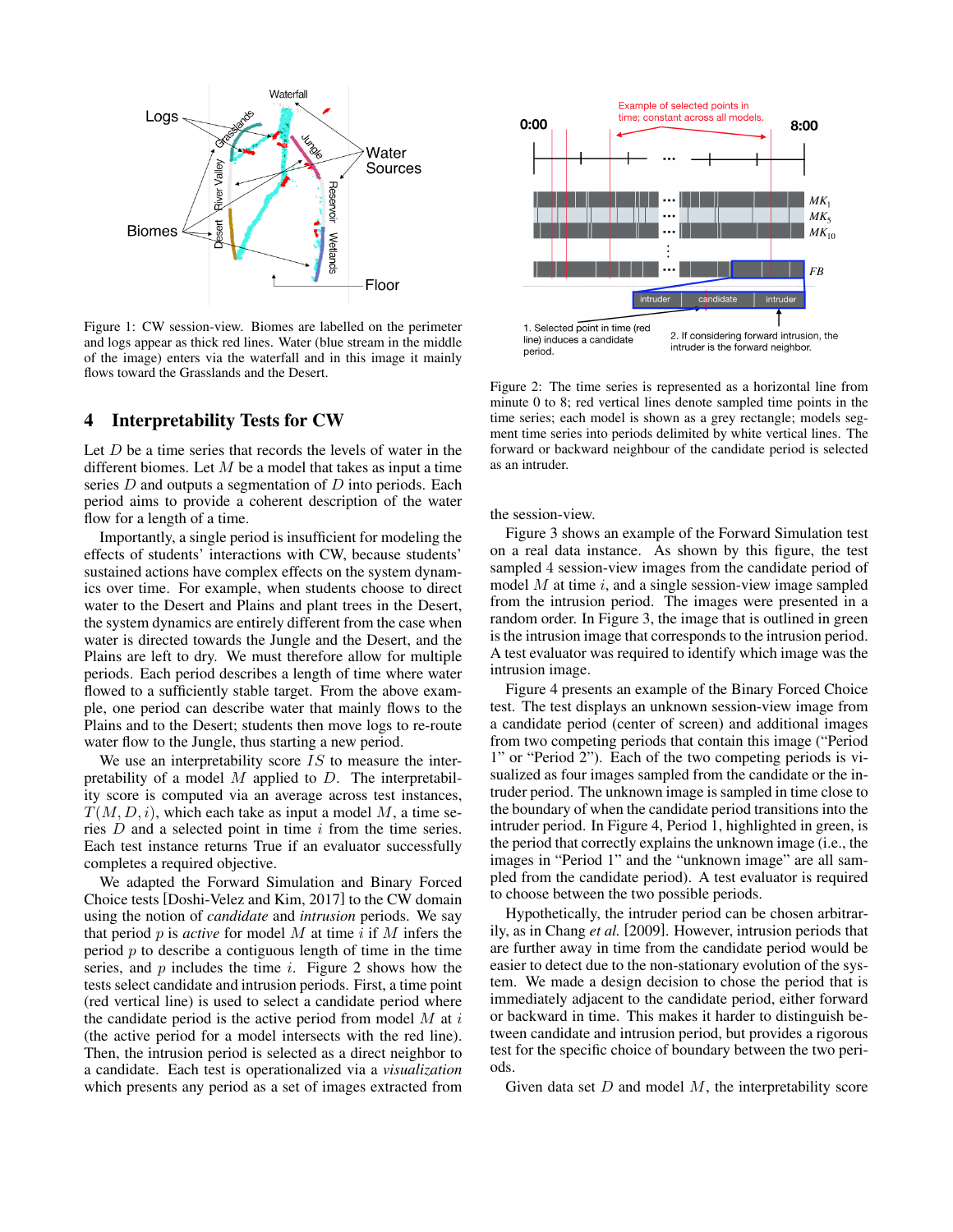<span id="page-2-0"></span>

Figure 1: CW session-view. Biomes are labelled on the perimeter and logs appear as thick red lines. Water (blue stream in the middle of the image) enters via the waterfall and in this image it mainly flows toward the Grasslands and the Desert.

#### <span id="page-2-2"></span>4 Interpretability Tests for CW

Let  $D$  be a time series that records the levels of water in the different biomes. Let  $M$  be a model that takes as input a time series  $D$  and outputs a segmentation of  $D$  into periods. Each period aims to provide a coherent description of the water flow for a length of a time.

Importantly, a single period is insufficient for modeling the effects of students' interactions with CW, because students' sustained actions have complex effects on the system dynamics over time. For example, when students choose to direct water to the Desert and Plains and plant trees in the Desert, the system dynamics are entirely different from the case when water is directed towards the Jungle and the Desert, and the Plains are left to dry. We must therefore allow for multiple periods. Each period describes a length of time where water flowed to a sufficiently stable target. From the above example, one period can describe water that mainly flows to the Plains and to the Desert; students then move logs to re-route water flow to the Jungle, thus starting a new period.

We use an interpretability score  $IS$  to measure the interpretability of a model  $M$  applied to  $D$ . The interpretability score is computed via an average across test instances,  $T(M, D, i)$ , which each take as input a model M, a time series  $D$  and a selected point in time  $i$  from the time series. Each test instance returns True if an evaluator successfully completes a required objective.

We adapted the Forward Simulation and Binary Forced Choice tests [\[Doshi-Velez and Kim, 2017\]](#page-6-4) to the CW domain using the notion of *candidate* and *intrusion* periods. We say that period  $p$  is *active* for model  $M$  at time  $i$  if  $M$  infers the period  $p$  to describe a contiguous length of time in the time series, and  $p$  includes the time  $i$ . Figure [2](#page-2-1) shows how the tests select candidate and intrusion periods. First, a time point (red vertical line) is used to select a candidate period where the candidate period is the active period from model  $M$  at  $i$ (the active period for a model intersects with the red line). Then, the intrusion period is selected as a direct neighbor to a candidate. Each test is operationalized via a *visualization* which presents any period as a set of images extracted from

<span id="page-2-1"></span>

Figure 2: The time series is represented as a horizontal line from minute 0 to 8; red vertical lines denote sampled time points in the time series; each model is shown as a grey rectangle; models segment time series into periods delimited by white vertical lines. The forward or backward neighbour of the candidate period is selected as an intruder.

the session-view.

Figure [3](#page-3-0) shows an example of the Forward Simulation test on a real data instance. As shown by this figure, the test sampled 4 session-view images from the candidate period of model  $M$  at time  $i$ , and a single session-view image sampled from the intrusion period. The images were presented in a random order. In Figure [3,](#page-3-0) the image that is outlined in green is the intrusion image that corresponds to the intrusion period. A test evaluator was required to identify which image was the intrusion image.

Figure [4](#page-4-0) presents an example of the Binary Forced Choice test. The test displays an unknown session-view image from a candidate period (center of screen) and additional images from two competing periods that contain this image ("Period 1" or "Period 2"). Each of the two competing periods is visualized as four images sampled from the candidate or the intruder period. The unknown image is sampled in time close to the boundary of when the candidate period transitions into the intruder period. In Figure [4,](#page-4-0) Period 1, highlighted in green, is the period that correctly explains the unknown image (i.e., the images in "Period 1" and the "unknown image" are all sampled from the candidate period). A test evaluator is required to choose between the two possible periods.

Hypothetically, the intruder period can be chosen arbitrarily, as in [Chang](#page-6-13) *et al.* [\[2009\]](#page-6-13). However, intrusion periods that are further away in time from the candidate period would be easier to detect due to the non-stationary evolution of the system. We made a design decision to chose the period that is immediately adjacent to the candidate period, either forward or backward in time. This makes it harder to distinguish between candidate and intrusion period, but provides a rigorous test for the specific choice of boundary between the two periods.

Given data set  $D$  and model  $M$ , the interpretability score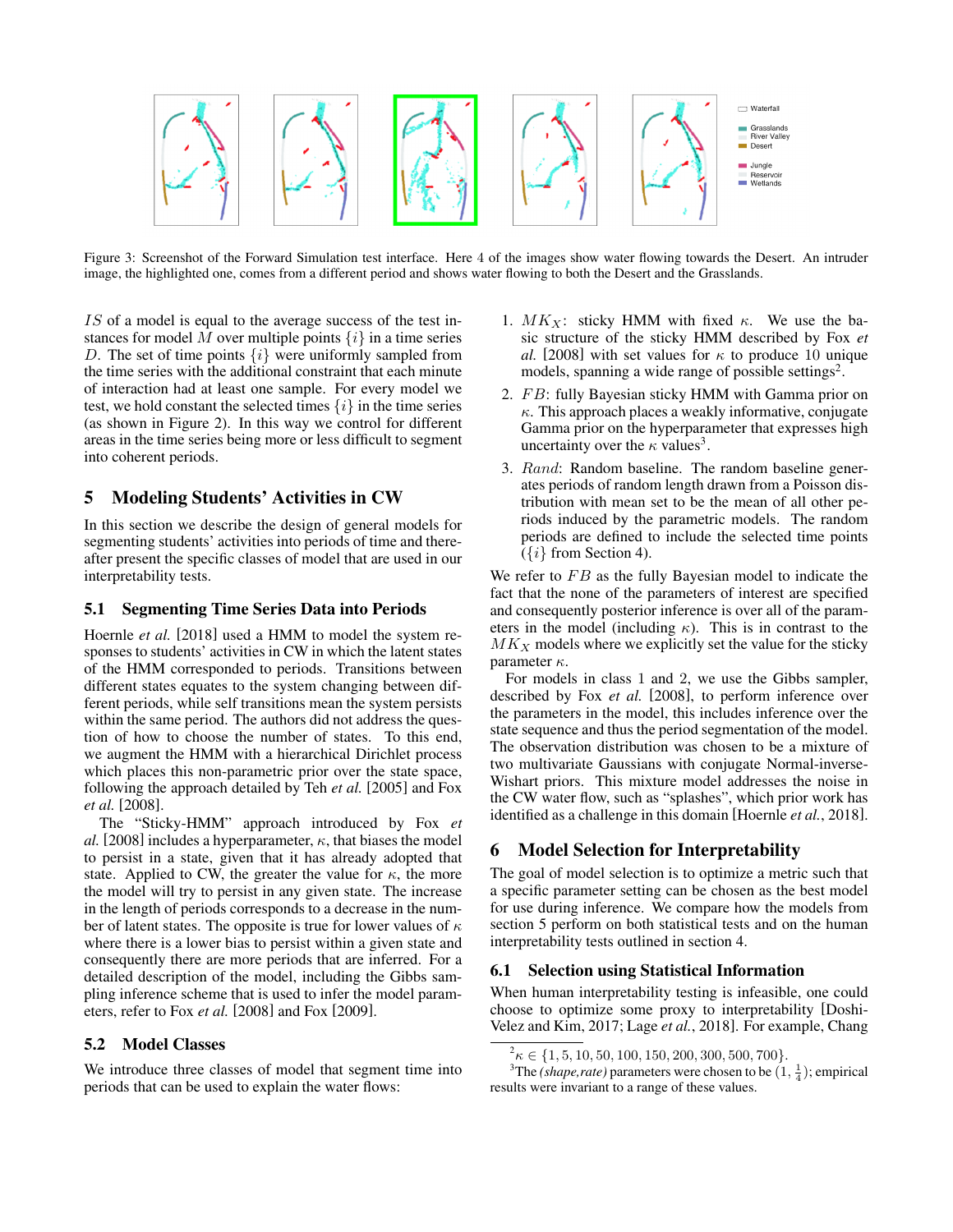<span id="page-3-0"></span>

Figure 3: Screenshot of the Forward Simulation test interface. Here 4 of the images show water flowing towards the Desert. An intruder image, the highlighted one, comes from a different period and shows water flowing to both the Desert and the Grasslands.

IS of a model is equal to the average success of the test instances for model M over multiple points  $\{i\}$  in a time series D. The set of time points  $\{i\}$  were uniformly sampled from the time series with the additional constraint that each minute of interaction had at least one sample. For every model we test, we hold constant the selected times  $\{i\}$  in the time series (as shown in Figure [2\)](#page-2-1). In this way we control for different areas in the time series being more or less difficult to segment into coherent periods.

# <span id="page-3-3"></span>5 Modeling Students' Activities in CW

In this section we describe the design of general models for segmenting students' activities into periods of time and thereafter present the specific classes of model that are used in our interpretability tests.

## 5.1 Segmenting Time Series Data into Periods

[Hoernle](#page-6-14) *et al.* [\[2018\]](#page-6-14) used a HMM to model the system responses to students' activities in CW in which the latent states of the HMM corresponded to periods. Transitions between different states equates to the system changing between different periods, while self transitions mean the system persists within the same period. The authors did not address the question of how to choose the number of states. To this end, we augment the HMM with a hierarchical Dirichlet process which places this non-parametric prior over the state space, following the approach detailed by Teh *[et al.](#page-6-15)* [\[2005\]](#page-6-15) and [Fox](#page-6-7) *[et al.](#page-6-7)* [\[2008\]](#page-6-7).

The "Sticky-HMM" approach introduced by [Fox](#page-6-7) *et [al.](#page-6-7)* [\[2008\]](#page-6-7) includes a hyperparameter,  $\kappa$ , that biases the model to persist in a state, given that it has already adopted that state. Applied to CW, the greater the value for  $\kappa$ , the more the model will try to persist in any given state. The increase in the length of periods corresponds to a decrease in the number of latent states. The opposite is true for lower values of  $\kappa$ where there is a lower bias to persist within a given state and consequently there are more periods that are inferred. For a detailed description of the model, including the Gibbs sampling inference scheme that is used to infer the model parameters, refer to Fox *[et al.](#page-6-7)* [\[2008\]](#page-6-7) and [Fox](#page-6-16) [\[2009\]](#page-6-16).

## 5.2 Model Classes

We introduce three classes of model that segment time into periods that can be used to explain the water flows:

- 1.  $MK_X$ : sticky HMM with fixed  $\kappa$ . We use the basic structure of the sticky HMM described by [Fox](#page-6-7) *et [al.](#page-6-7)* [\[2008\]](#page-6-7) with set values for  $\kappa$  to produce 10 unique models, spanning a wide range of possible settings<sup>[2](#page-3-1)</sup>.
- 2. FB: fully Bayesian sticky HMM with Gamma prior on  $\kappa$ . This approach places a weakly informative, conjugate Gamma prior on the hyperparameter that expresses high uncertainty over the  $\kappa$  values<sup>[3](#page-3-2)</sup>.
- 3. Rand: Random baseline. The random baseline generates periods of random length drawn from a Poisson distribution with mean set to be the mean of all other periods induced by the parametric models. The random periods are defined to include the selected time points  $({i}$  from Section [4\)](#page-2-2).

We refer to  $FB$  as the fully Bayesian model to indicate the fact that the none of the parameters of interest are specified and consequently posterior inference is over all of the parameters in the model (including  $\kappa$ ). This is in contrast to the  $MK<sub>X</sub>$  models where we explicitly set the value for the sticky parameter  $\kappa$ .

For models in class 1 and 2, we use the Gibbs sampler, described by Fox *[et al.](#page-6-7)* [\[2008\]](#page-6-7), to perform inference over the parameters in the model, this includes inference over the state sequence and thus the period segmentation of the model. The observation distribution was chosen to be a mixture of two multivariate Gaussians with conjugate Normal-inverse-Wishart priors. This mixture model addresses the noise in the CW water flow, such as "splashes", which prior work has identified as a challenge in this domain [\[Hoernle](#page-6-14) *et al.*, 2018].

# 6 Model Selection for Interpretability

The goal of model selection is to optimize a metric such that a specific parameter setting can be chosen as the best model for use during inference. We compare how the models from section [5](#page-3-3) perform on both statistical tests and on the human interpretability tests outlined in section [4.](#page-2-2)

#### 6.1 Selection using Statistical Information

When human interpretability testing is infeasible, one could choose to optimize some proxy to interpretability [\[Doshi-](#page-6-4)[Velez and Kim, 2017;](#page-6-4) Lage *et al.*[, 2018\]](#page-6-8). For example, [Chang](#page-6-13)

<span id="page-3-2"></span><span id="page-3-1"></span> $^{2}$  $\kappa \in \{1, 5, 10, 50, 100, 150, 200, 300, 500, 700\}.$  $\kappa \in \{1, 5, 10, 50, 100, 150, 200, 300, 500, 700\}.$  $\kappa \in \{1, 5, 10, 50, 100, 150, 200, 300, 500, 700\}.$ 

<sup>&</sup>lt;sup>3</sup>The *(shape,rate)* [parameters were chosen to be](#page-6-13)  $(1, \frac{1}{4})$ ; empirical [results were invariant to a range of these values.](#page-6-13)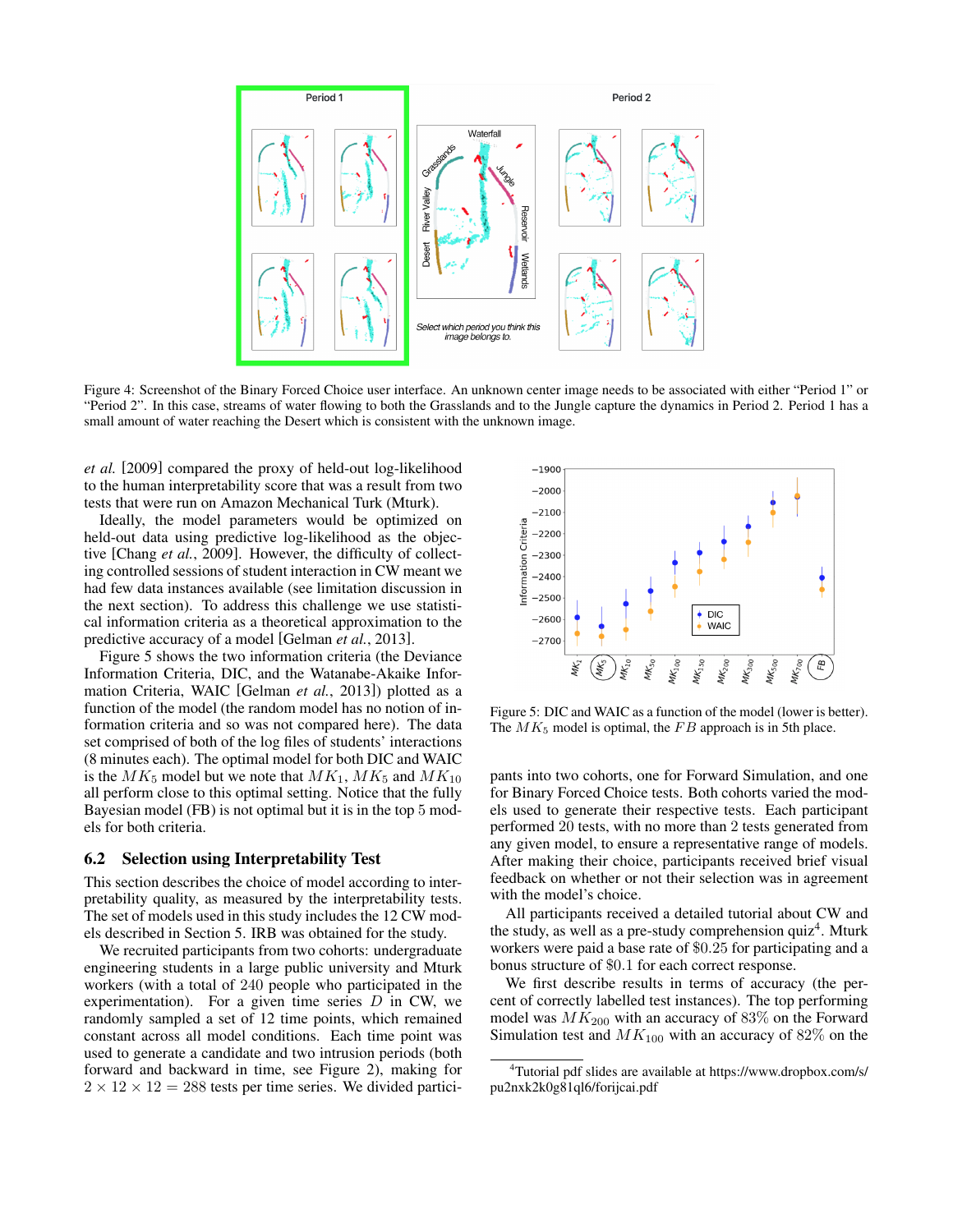<span id="page-4-0"></span>

[Figure 4: Screenshot of the Binary Forced Choice user interface. An unknown center image needs to be associated with either "Period 1" or](#page-6-13) ["Period 2". In this case, streams of water flowing to both the Grasslands and to the Jungle capture the dynamics in Period 2. Period 1 has a](#page-6-13) [small amount of water reaching the Desert which is consistent with the unknown image.](#page-6-13)

*[et al.](#page-6-13)* [\[2009\]](#page-6-13) compared the proxy of held-out log-likelihood to the human interpretability score that was a result from two tests that were run on Amazon Mechanical Turk (Mturk).

Ideally, the model parameters would be optimized on held-out data using predictive log-likelihood as the objective [\[Chang](#page-6-13) *et al.*, 2009]. However, the difficulty of collecting controlled sessions of student interaction in CW meant we had few data instances available (see limitation discussion in the next section). To address this challenge we use statistical information criteria as a theoretical approximation to the predictive accuracy of a model [\[Gelman](#page-6-17) *et al.*, 2013].

Figure [5](#page-4-1) shows the two information criteria (the Deviance Information Criteria, DIC, and the Watanabe-Akaike Information Criteria, WAIC [\[Gelman](#page-6-17) *et al.*, 2013]) plotted as a function of the model (the random model has no notion of information criteria and so was not compared here). The data set comprised of both of the log files of students' interactions (8 minutes each). The optimal model for both DIC and WAIC is the  $MK_5$  model but we note that  $MK_1$ ,  $MK_5$  and  $MK_{10}$ all perform close to this optimal setting. Notice that the fully Bayesian model (FB) is not optimal but it is in the top 5 models for both criteria.

#### 6.2 Selection using Interpretability Test

This section describes the choice of model according to interpretability quality, as measured by the interpretability tests. The set of models used in this study includes the 12 CW models described in Section [5.](#page-3-3) IRB was obtained for the study.

We recruited participants from two cohorts: undergraduate engineering students in a large public university and Mturk workers (with a total of 240 people who participated in the experimentation). For a given time series  $D$  in CW, we randomly sampled a set of 12 time points, which remained constant across all model conditions. Each time point was used to generate a candidate and two intrusion periods (both forward and backward in time, see Figure [2\)](#page-2-1), making for  $2 \times 12 \times 12 = 288$  tests per time series. We divided partici-

<span id="page-4-1"></span>

Figure 5: DIC and WAIC as a function of the model (lower is better). The  $MK_5$  model is optimal, the  $FB$  approach is in 5th place.

pants into two cohorts, one for Forward Simulation, and one for Binary Forced Choice tests. Both cohorts varied the models used to generate their respective tests. Each participant performed 20 tests, with no more than 2 tests generated from any given model, to ensure a representative range of models. After making their choice, participants received brief visual feedback on whether or not their selection was in agreement with the model's choice.

All participants received a detailed tutorial about CW and the study, as well as a pre-study comprehension quiz<sup>[4](#page-4-2)</sup>. Mturk workers were paid a base rate of \$0.25 for participating and a bonus structure of \$0.1 for each correct response.

We first describe results in terms of accuracy (the percent of correctly labelled test instances). The top performing model was  $MK_{200}$  with an accuracy of 83% on the Forward Simulation test and  $MK_{100}$  with an accuracy of 82% on the

<span id="page-4-2"></span><sup>4</sup>Tutorial pdf slides are available at [https://www.dropbox.com/s/](https://www.dropbox.com/s/pu2nxk2k0g81ql6/forijcai.pdf) [pu2nxk2k0g81ql6/forijcai.pdf](https://www.dropbox.com/s/pu2nxk2k0g81ql6/forijcai.pdf)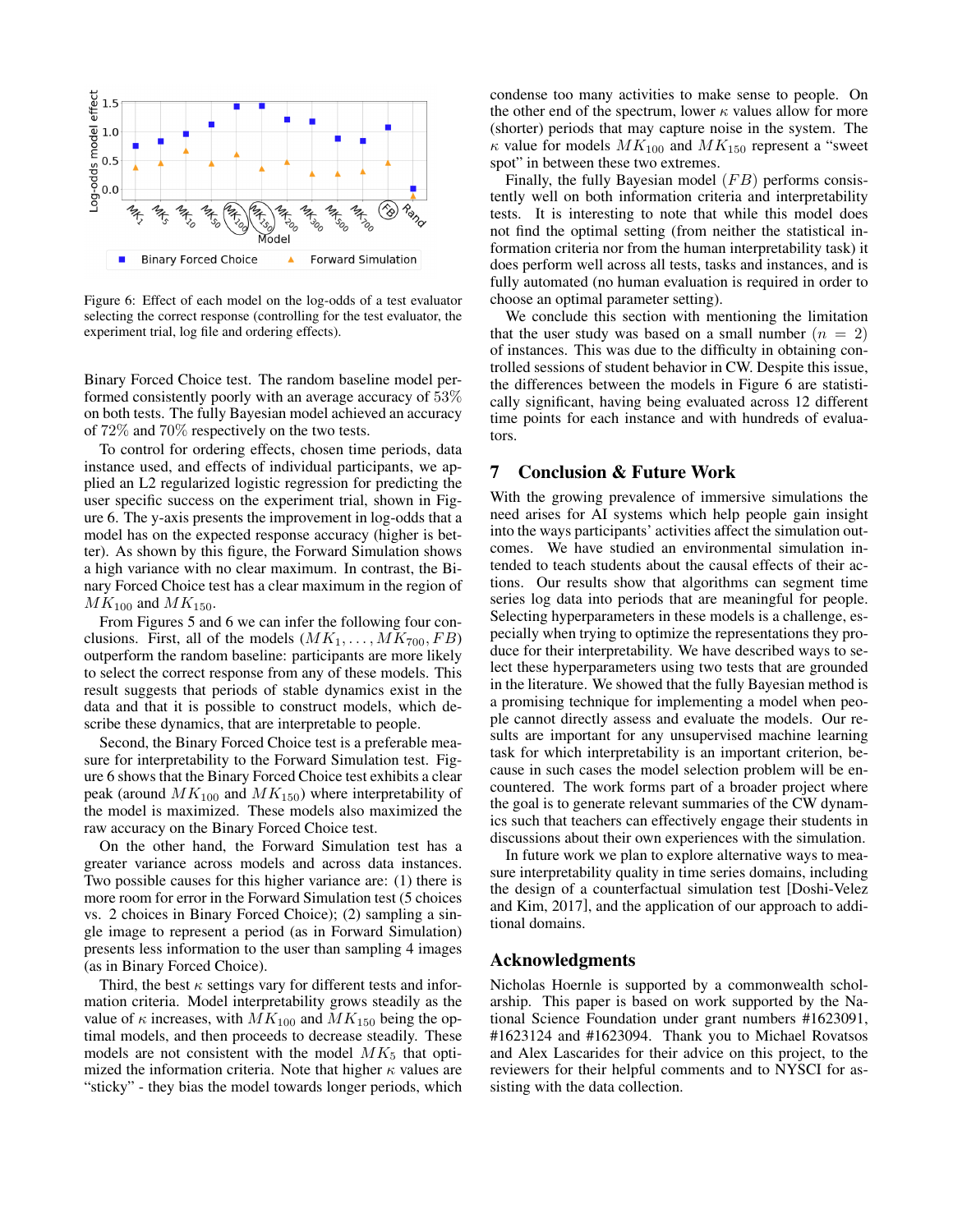<span id="page-5-0"></span>

Figure 6: Effect of each model on the log-odds of a test evaluator selecting the correct response (controlling for the test evaluator, the experiment trial, log file and ordering effects).

Binary Forced Choice test. The random baseline model performed consistently poorly with an average accuracy of 53% on both tests. The fully Bayesian model achieved an accuracy of 72% and 70% respectively on the two tests.

To control for ordering effects, chosen time periods, data instance used, and effects of individual participants, we applied an L2 regularized logistic regression for predicting the user specific success on the experiment trial, shown in Figure [6.](#page-5-0) The y-axis presents the improvement in log-odds that a model has on the expected response accuracy (higher is better). As shown by this figure, the Forward Simulation shows a high variance with no clear maximum. In contrast, the Binary Forced Choice test has a clear maximum in the region of  $MK_{100}$  and  $MK_{150}$ .

From Figures [5](#page-4-1) and [6](#page-5-0) we can infer the following four conclusions. First, all of the models  $(MK_1, \ldots, MK_{700}, FB)$ outperform the random baseline: participants are more likely to select the correct response from any of these models. This result suggests that periods of stable dynamics exist in the data and that it is possible to construct models, which describe these dynamics, that are interpretable to people.

Second, the Binary Forced Choice test is a preferable measure for interpretability to the Forward Simulation test. Figure [6](#page-5-0) shows that the Binary Forced Choice test exhibits a clear peak (around  $MK_{100}$  and  $MK_{150}$ ) where interpretability of the model is maximized. These models also maximized the raw accuracy on the Binary Forced Choice test.

On the other hand, the Forward Simulation test has a greater variance across models and across data instances. Two possible causes for this higher variance are: (1) there is more room for error in the Forward Simulation test (5 choices vs. 2 choices in Binary Forced Choice); (2) sampling a single image to represent a period (as in Forward Simulation) presents less information to the user than sampling 4 images (as in Binary Forced Choice).

Third, the best  $\kappa$  settings vary for different tests and information criteria. Model interpretability grows steadily as the value of  $\kappa$  increases, with  $MK_{100}$  and  $MK_{150}$  being the optimal models, and then proceeds to decrease steadily. These models are not consistent with the model  $MK<sub>5</sub>$  that optimized the information criteria. Note that higher  $\kappa$  values are "sticky" - they bias the model towards longer periods, which condense too many activities to make sense to people. On the other end of the spectrum, lower  $\kappa$  values allow for more (shorter) periods that may capture noise in the system. The  $\kappa$  value for models  $MK_{100}$  and  $MK_{150}$  represent a "sweet" spot" in between these two extremes.

Finally, the fully Bayesian model  $(FB)$  performs consistently well on both information criteria and interpretability tests. It is interesting to note that while this model does not find the optimal setting (from neither the statistical information criteria nor from the human interpretability task) it does perform well across all tests, tasks and instances, and is fully automated (no human evaluation is required in order to choose an optimal parameter setting).

We conclude this section with mentioning the limitation that the user study was based on a small number  $(n = 2)$ of instances. This was due to the difficulty in obtaining controlled sessions of student behavior in CW. Despite this issue, the differences between the models in Figure [6](#page-5-0) are statistically significant, having being evaluated across 12 different time points for each instance and with hundreds of evaluators.

## 7 Conclusion & Future Work

With the growing prevalence of immersive simulations the need arises for AI systems which help people gain insight into the ways participants' activities affect the simulation outcomes. We have studied an environmental simulation intended to teach students about the causal effects of their actions. Our results show that algorithms can segment time series log data into periods that are meaningful for people. Selecting hyperparameters in these models is a challenge, especially when trying to optimize the representations they produce for their interpretability. We have described ways to select these hyperparameters using two tests that are grounded in the literature. We showed that the fully Bayesian method is a promising technique for implementing a model when people cannot directly assess and evaluate the models. Our results are important for any unsupervised machine learning task for which interpretability is an important criterion, because in such cases the model selection problem will be encountered. The work forms part of a broader project where the goal is to generate relevant summaries of the CW dynamics such that teachers can effectively engage their students in discussions about their own experiences with the simulation.

In future work we plan to explore alternative ways to measure interpretability quality in time series domains, including the design of a counterfactual simulation test [\[Doshi-Velez](#page-6-4) [and Kim, 2017\]](#page-6-4), and the application of our approach to additional domains.

## Acknowledgments

Nicholas Hoernle is supported by a commonwealth scholarship. This paper is based on work supported by the National Science Foundation under grant numbers #1623091, #1623124 and #1623094. Thank you to Michael Rovatsos and Alex Lascarides for their advice on this project, to the reviewers for their helpful comments and to NYSCI for assisting with the data collection.